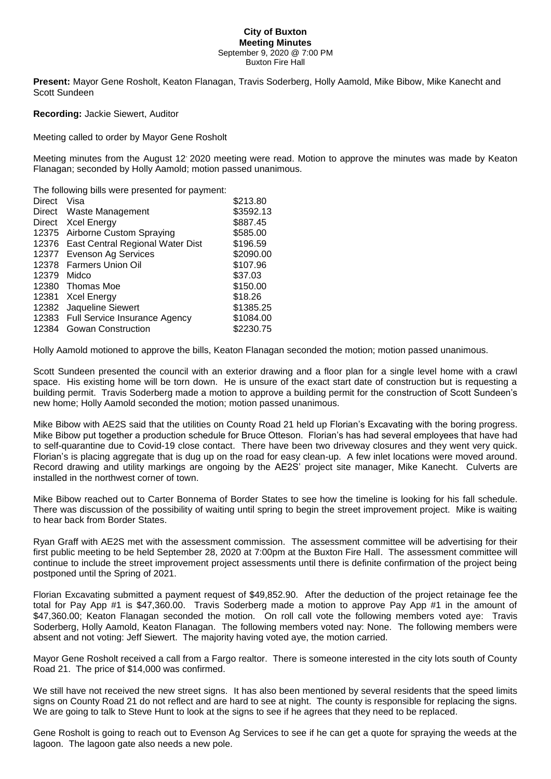## **City of Buxton Meeting Minutes** September 9, 2020 @ 7:00 PM Buxton Fire Hall

**Present:** Mayor Gene Rosholt, Keaton Flanagan, Travis Soderberg, Holly Aamold, Mike Bibow, Mike Kanecht and Scott Sundeen

**Recording:** Jackie Siewert, Auditor

Meeting called to order by Mayor Gene Rosholt

Meeting minutes from the August 12, 2020 meeting were read. Motion to approve the minutes was made by Keaton Flanagan; seconded by Holly Aamold; motion passed unanimous.

The following bills were presented for payment:

| <b>Direct</b> | Visa                                   | \$213.80  |
|---------------|----------------------------------------|-----------|
|               | Direct Waste Management                | \$3592.13 |
| Direct        | <b>Xcel Energy</b>                     | \$887.45  |
|               | 12375 Airborne Custom Spraying         | \$585.00  |
|               | 12376 East Central Regional Water Dist | \$196.59  |
|               | 12377 Evenson Ag Services              | \$2090.00 |
|               | 12378 Farmers Union Oil                | \$107.96  |
| 12379         | Midco                                  | \$37.03   |
|               | 12380 Thomas Moe                       | \$150.00  |
| 12381         | Xcel Energy                            | \$18.26   |
|               | 12382 Jaqueline Siewert                | \$1385.25 |
|               | 12383 Full Service Insurance Agency    | \$1084.00 |
| 12384         | <b>Gowan Construction</b>              | \$2230.75 |

Holly Aamold motioned to approve the bills, Keaton Flanagan seconded the motion; motion passed unanimous.

Scott Sundeen presented the council with an exterior drawing and a floor plan for a single level home with a crawl space. His existing home will be torn down. He is unsure of the exact start date of construction but is requesting a building permit. Travis Soderberg made a motion to approve a building permit for the construction of Scott Sundeen's new home; Holly Aamold seconded the motion; motion passed unanimous.

Mike Bibow with AE2S said that the utilities on County Road 21 held up Florian's Excavating with the boring progress. Mike Bibow put together a production schedule for Bruce Otteson. Florian's has had several employees that have had to self-quarantine due to Covid-19 close contact. There have been two driveway closures and they went very quick. Florian's is placing aggregate that is dug up on the road for easy clean-up. A few inlet locations were moved around. Record drawing and utility markings are ongoing by the AE2S' project site manager, Mike Kanecht. Culverts are installed in the northwest corner of town.

Mike Bibow reached out to Carter Bonnema of Border States to see how the timeline is looking for his fall schedule. There was discussion of the possibility of waiting until spring to begin the street improvement project. Mike is waiting to hear back from Border States.

Ryan Graff with AE2S met with the assessment commission. The assessment committee will be advertising for their first public meeting to be held September 28, 2020 at 7:00pm at the Buxton Fire Hall. The assessment committee will continue to include the street improvement project assessments until there is definite confirmation of the project being postponed until the Spring of 2021.

Florian Excavating submitted a payment request of \$49,852.90. After the deduction of the project retainage fee the total for Pay App #1 is \$47,360.00. Travis Soderberg made a motion to approve Pay App #1 in the amount of \$47,360.00; Keaton Flanagan seconded the motion. On roll call vote the following members voted aye: Travis Soderberg, Holly Aamold, Keaton Flanagan. The following members voted nay: None. The following members were absent and not voting: Jeff Siewert. The majority having voted aye, the motion carried.

Mayor Gene Rosholt received a call from a Fargo realtor. There is someone interested in the city lots south of County Road 21. The price of \$14,000 was confirmed.

We still have not received the new street signs. It has also been mentioned by several residents that the speed limits signs on County Road 21 do not reflect and are hard to see at night. The county is responsible for replacing the signs. We are going to talk to Steve Hunt to look at the signs to see if he agrees that they need to be replaced.

Gene Rosholt is going to reach out to Evenson Ag Services to see if he can get a quote for spraying the weeds at the lagoon. The lagoon gate also needs a new pole.